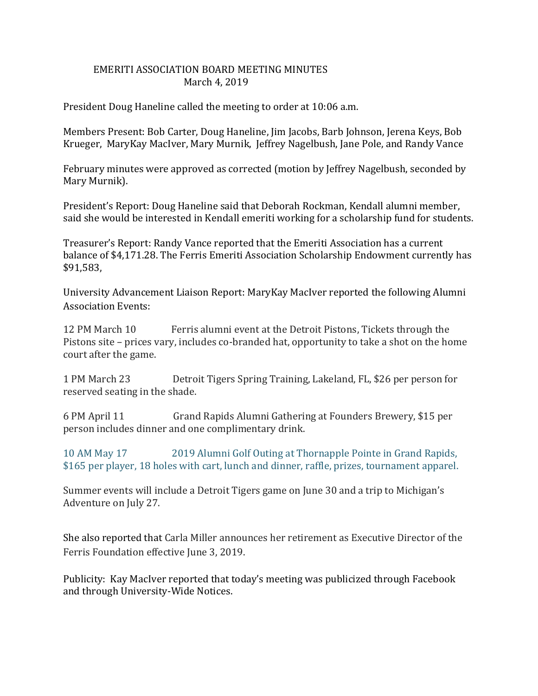## EMERITI ASSOCIATION BOARD MEETING MINUTES March 4, 2019

President Doug Haneline called the meeting to order at 10:06 a.m.

Members Present: Bob Carter, Doug Haneline, Jim Jacobs, Barb Johnson, Jerena Keys, Bob Krueger, MaryKay MacIver, Mary Murnik, Jeffrey Nagelbush, Jane Pole, and Randy Vance

February minutes were approved as corrected (motion by Jeffrey Nagelbush, seconded by Mary Murnik).

President's Report: Doug Haneline said that Deborah Rockman, Kendall alumni member, said she would be interested in Kendall emeriti working for a scholarship fund for students.

Treasurer's Report: Randy Vance reported that the Emeriti Association has a current balance of \$4,171.28. The Ferris Emeriti Association Scholarship Endowment currently has \$91,583,

University Advancement Liaison Report: MaryKay MacIver reported the following Alumni Association Events:

12 PM March 10 Ferris alumni event at the Detroit Pistons, Tickets through the Pistons site – prices vary, includes co-branded hat, opportunity to take a shot on the home court after the game.

1 PM March 23 Detroit Tigers Spring Training, Lakeland, FL, \$26 per person for reserved seating in the shade.

6 PM April 11 Grand Rapids Alumni Gathering at Founders Brewery, \$15 per person includes dinner and one complimentary drink.

10 AM May 17 2019 Alumni Golf Outing at Thornapple Pointe in Grand Rapids, \$165 per player, 18 holes with cart, lunch and dinner, raffle, prizes, tournament apparel.

Summer events will include a Detroit Tigers game on June 30 and a trip to Michigan's Adventure on July 27.

She also reported that Carla Miller announces her retirement as Executive Director of the Ferris Foundation effective June 3, 2019.

Publicity: Kay MacIver reported that today's meeting was publicized through Facebook and through University-Wide Notices.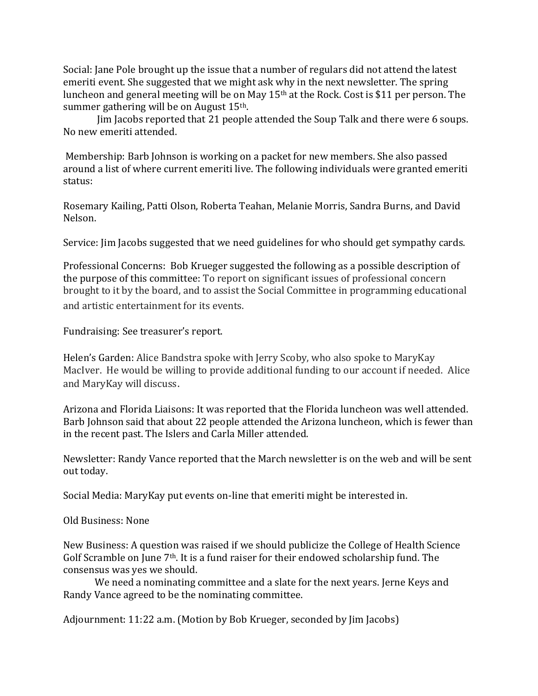Social: Jane Pole brought up the issue that a number of regulars did not attend the latest emeriti event. She suggested that we might ask why in the next newsletter. The spring luncheon and general meeting will be on May 15th at the Rock. Cost is \$11 per person. The summer gathering will be on August 15th.

Jim Jacobs reported that 21 people attended the Soup Talk and there were 6 soups. No new emeriti attended.

Membership: Barb Johnson is working on a packet for new members. She also passed around a list of where current emeriti live. The following individuals were granted emeriti status:

Rosemary Kailing, Patti Olson, Roberta Teahan, Melanie Morris, Sandra Burns, and David Nelson.

Service: Jim Jacobs suggested that we need guidelines for who should get sympathy cards.

Professional Concerns: Bob Krueger suggested the following as a possible description of the purpose of this committee: To report on significant issues of professional concern brought to it by the board, and to assist the Social Committee in programming educational and artistic entertainment for its events.

Fundraising: See treasurer's report.

Helen's Garden: Alice Bandstra spoke with Jerry Scoby, who also spoke to MaryKay MacIver. He would be willing to provide additional funding to our account if needed. Alice and MaryKay will discuss.

Arizona and Florida Liaisons: It was reported that the Florida luncheon was well attended. Barb Johnson said that about 22 people attended the Arizona luncheon, which is fewer than in the recent past. The Islers and Carla Miller attended.

Newsletter: Randy Vance reported that the March newsletter is on the web and will be sent out today.

Social Media: MaryKay put events on-line that emeriti might be interested in.

Old Business: None

New Business: A question was raised if we should publicize the College of Health Science Golf Scramble on June 7th. It is a fund raiser for their endowed scholarship fund. The consensus was yes we should.

We need a nominating committee and a slate for the next years. Jerne Keys and Randy Vance agreed to be the nominating committee.

Adjournment: 11:22 a.m. (Motion by Bob Krueger, seconded by Jim Jacobs)